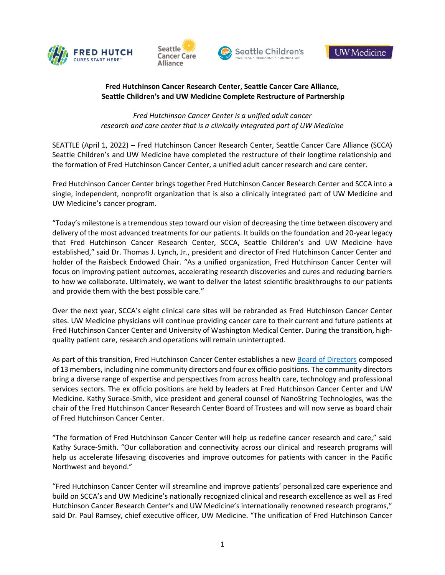







# **Fred Hutchinson Cancer Research Center, Seattle Cancer Care Alliance, Seattle Children's and UW Medicine Complete Restructure of Partnership**

*Fred Hutchinson Cancer Center is a unified adult cancer research and care center that is a clinically integrated part of UW Medicine*

SEATTLE (April 1, 2022) – Fred Hutchinson Cancer Research Center, Seattle Cancer Care Alliance (SCCA) Seattle Children's and UW Medicine have completed the restructure of their longtime relationship and the formation of Fred Hutchinson Cancer Center, a unified adult cancer research and care center.

Fred Hutchinson Cancer Center brings together Fred Hutchinson Cancer Research Center and SCCA into a single, independent, nonprofit organization that is also a clinically integrated part of UW Medicine and UW Medicine's cancer program.

"Today's milestone is a tremendous step toward our vision of decreasing the time between discovery and delivery of the most advanced treatments for our patients. It builds on the foundation and 20-year legacy that Fred Hutchinson Cancer Research Center, SCCA, Seattle Children's and UW Medicine have established," said Dr. Thomas J. Lynch, Jr., president and director of Fred Hutchinson Cancer Center and holder of the Raisbeck Endowed Chair. "As a unified organization, Fred Hutchinson Cancer Center will focus on improving patient outcomes, accelerating research discoveries and cures and reducing barriers to how we collaborate. Ultimately, we want to deliver the latest scientific breakthroughs to our patients and provide them with the best possible care."

Over the next year, SCCA's eight clinical care sites will be rebranded as Fred Hutchinson Cancer Center sites. UW Medicine physicians will continue providing cancer care to their current and future patients at Fred Hutchinson Cancer Center and University of Washington Medical Center. During the transition, highquality patient care, research and operations will remain uninterrupted.

As part of this transition, Fred Hutchinson Cancer Center establishes a new [Board of Directors](http://fhcc.org/board-of-directors/) composed of 13 members, including nine community directors and four ex officio positions. The community directors bring a diverse range of expertise and perspectives from across health care, technology and professional services sectors. The ex officio positions are held by leaders at Fred Hutchinson Cancer Center and UW Medicine. Kathy Surace-Smith, vice president and general counsel of NanoString Technologies, was the chair of the Fred Hutchinson Cancer Research Center Board of Trustees and will now serve as board chair of Fred Hutchinson Cancer Center.

"The formation of Fred Hutchinson Cancer Center will help us redefine cancer research and care," said Kathy Surace-Smith. "Our collaboration and connectivity across our clinical and research programs will help us accelerate lifesaving discoveries and improve outcomes for patients with cancer in the Pacific Northwest and beyond."

"Fred Hutchinson Cancer Center will streamline and improve patients' personalized care experience and build on SCCA's and UW Medicine's nationally recognized clinical and research excellence as well as Fred Hutchinson Cancer Research Center's and UW Medicine's internationally renowned research programs," said Dr. Paul Ramsey, chief executive officer, UW Medicine. "The unification of Fred Hutchinson Cancer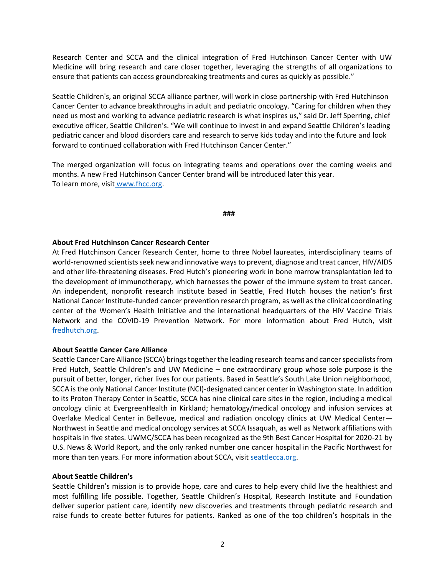Research Center and SCCA and the clinical integration of Fred Hutchinson Cancer Center with UW Medicine will bring research and care closer together, leveraging the strengths of all organizations to ensure that patients can access groundbreaking treatments and cures as quickly as possible."

Seattle Children's, an original SCCA alliance partner, will work in close partnership with Fred Hutchinson Cancer Center to advance breakthroughs in adult and pediatric oncology. "Caring for children when they need us most and working to advance pediatric research is what inspires us," said Dr. Jeff Sperring, chief executive officer, Seattle Children's. "We will continue to invest in and expand Seattle Children's leading pediatric cancer and blood disorders care and research to serve kids today and into the future and look forward to continued collaboration with Fred Hutchinson Cancer Center."

The merged organization will focus on integrating teams and operations over the coming weeks and months. A new Fred Hutchinson Cancer Center brand will be introduced later this year. To learn more, visit [www.fhcc.org.](http://www.fhcc.org/)

**###**

## **About Fred Hutchinson Cancer Research Center**

At Fred Hutchinson Cancer Research Center, home to three Nobel laureates, interdisciplinary teams of world-renowned scientists seek new and innovative ways to prevent, diagnose and treat cancer, HIV/AIDS and other life-threatening diseases. Fred Hutch's pioneering work in bone marrow transplantation led to the development of immunotherapy, which harnesses the power of the immune system to treat cancer. An independent, nonprofit research institute based in Seattle, Fred Hutch houses the nation's first National Cancer Institute-funded cancer prevention research program, as well as the clinical coordinating center of the Women's Health Initiative and the international headquarters of the HIV Vaccine Trials Network and the COVID-19 Prevention Network. For more information about Fred Hutch, visit [fredhutch.org.](https://www.fredhutch.org/en.html)

## **About Seattle Cancer Care Alliance**

Seattle Cancer Care Alliance (SCCA) brings together the leading research teams and cancer specialists from Fred Hutch, Seattle Children's and UW Medicine – one extraordinary group whose sole purpose is the pursuit of better, longer, richer lives for our patients. Based in Seattle's South Lake Union neighborhood, SCCA is the only National Cancer Institute (NCI)-designated cancer center in Washington state. In addition to its Proton Therapy Center in Seattle, SCCA has nine clinical care sites in the region, including a medical oncology clinic at EvergreenHealth in Kirkland; hematology/medical oncology and infusion services at Overlake Medical Center in Bellevue, medical and radiation oncology clinics at UW Medical Center— Northwest in Seattle and medical oncology services at SCCA Issaquah, as well as Network affiliations with hospitals in five states. UWMC/SCCA has been recognized as the 9th Best Cancer Hospital for 2020-21 by U.S. News & World Report, and the only ranked number one cancer hospital in the Pacific Northwest for more than ten years. For more information about SCCA, visit [seattlecca.org.](https://www.seattlecca.org/)

## **About Seattle Children's**

Seattle Children's mission is to provide hope, care and cures to help every child live the healthiest and most fulfilling life possible. Together, Seattle Children's Hospital, Research Institute and Foundation deliver superior patient care, identify new discoveries and treatments through pediatric research and raise funds to create better futures for patients. Ranked as one of the top children's hospitals in the